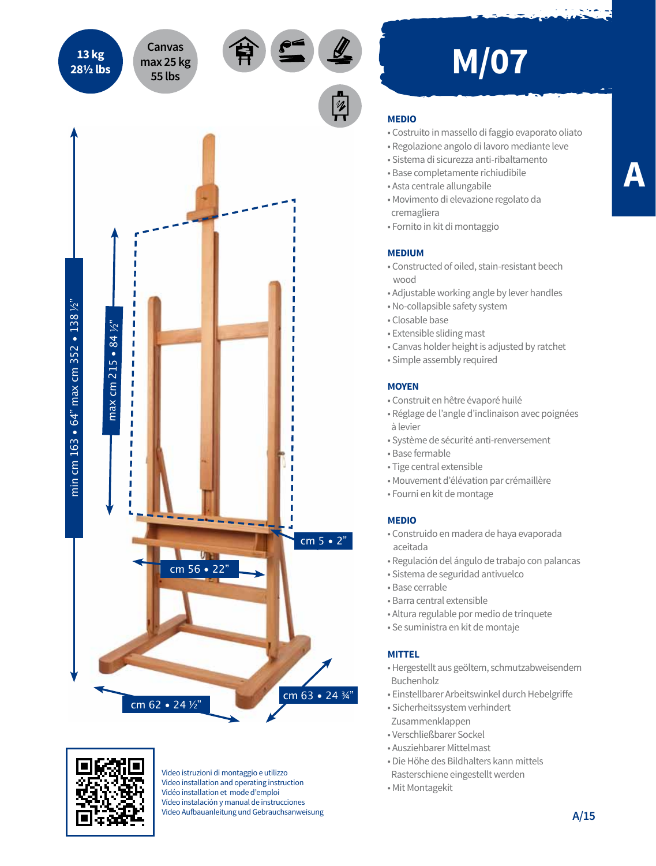



Video istruzioni di montaggio e utilizzo Video installation and operating instruction Vidéo installation et mode d'emploi Vídeo instalación y manual de instrucciones Video Aufbauanleitung und Gebrauchsanweisung

# **MEDIO**

- Costruito in massello di faggio evaporato oliato
- Regolazione angolo di lavoro mediante leve
- Sistema di sicurezza anti-ribaltamento
- Base completamente richiudibile
- Asta centrale allungabile
- Movimento di elevazione regolato da cremagliera
- Fornito in kit di montaggio

### **MEDIUM**

- Constructed of oiled, stain-resistant beech wood
- Adjustable working angle by lever handles
- No-collapsible safety system
- Closable base
- Extensible sliding mast
- Canvas holder height is adjusted by ratchet
- Simple assembly required

### **MOYEN**

- Construit en hêtre évaporé huilé
- Réglage de l'angle d'inclinaison avec poignées à levier
- Système de sécurité anti-renversement
- Base fermable
- Tige central extensible
- Mouvement d'élévation par crémaillère
- Fourni en kit de montage

## **MEDIO**

- Construido en madera de haya evaporada aceitada
- Regulación del ángulo de trabajo con palancas
- Sistema de seguridad antivuelco
- Base cerrable
- Barra central extensible
- Altura regulable por medio de trinquete
- Se suministra en kit de montaje

### **MITTEL**

- Hergestellt aus geöltem, schmutzabweisendem Buchenholz
- Einstellbarer Arbeitswinkel durch Hebelgriffe
- Sicherheitssystem verhindert
- Zusammenklappen
- Verschließbarer Sockel
- Ausziehbarer Mittelmast
- Die Höhe des Bildhalters kann mittels
- Rasterschiene eingestellt werden
- Mit Montagekit